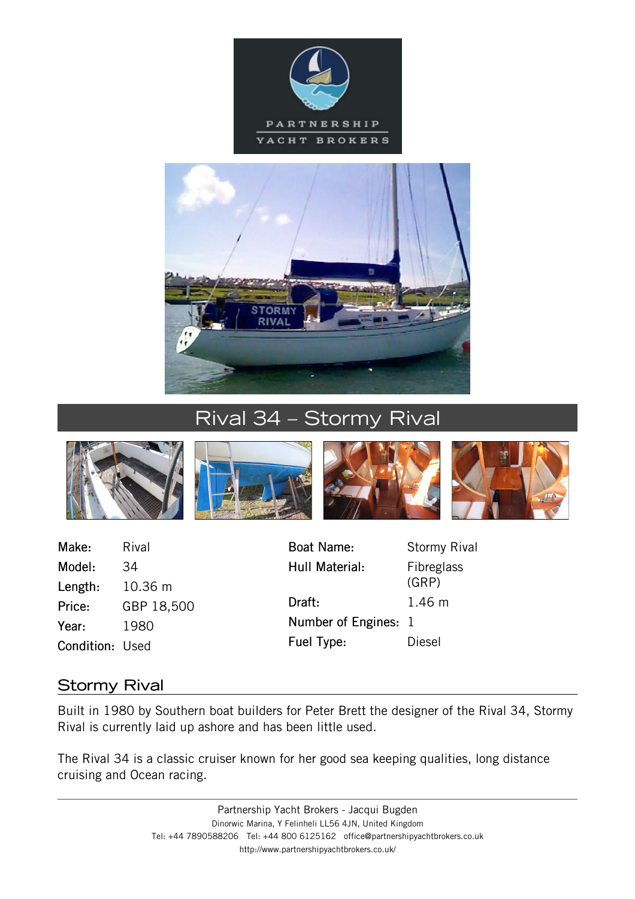



# Rival 34 – Stormy Rival





Make: Rival Model: 34 Length: 10.36 m Price: GBP 18,500 Year: 1980 Condition: Used

Hull Material: Fibreglass Draft: 1.46 m Number of Engines: 1 Fuel Type: Diesel

Boat Name: Stormy Rival (GRP)

## Stormy Rival

Built in 1980 by Southern boat builders for Peter Brett the designer of the Rival 34, Stormy Rival is currently laid up ashore and has been little used.

The Rival 34 is a classic cruiser known for her good sea keeping qualities, long distance cruising and Ocean racing.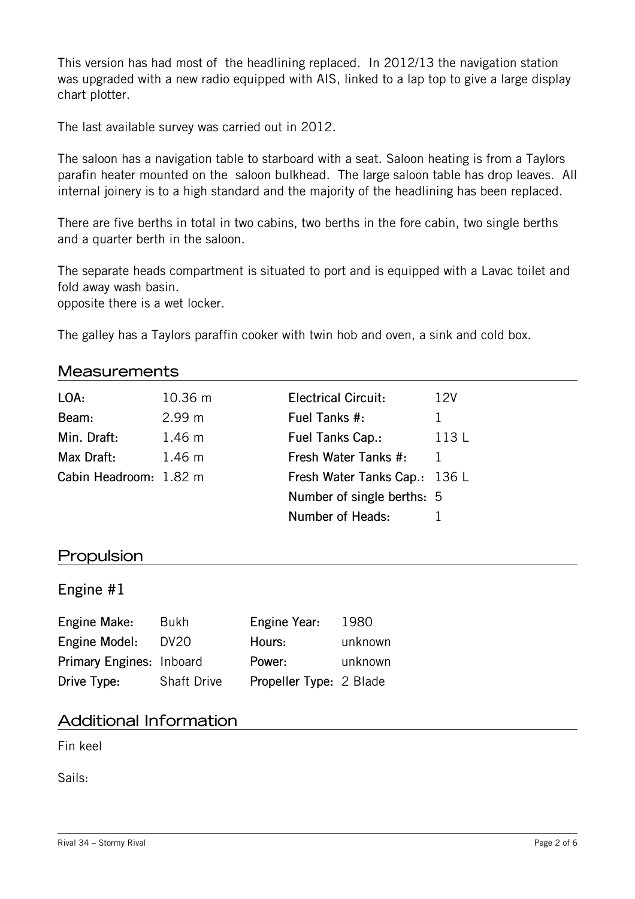This version has had most of the headlining replaced. In 2012/13 the navigation station was upgraded with a new radio equipped with AIS, linked to a lap top to give a large display chart plotter.

The last available survey was carried out in 2012.

The saloon has a navigation table to starboard with a seat. Saloon heating is from a Taylors parafin heater mounted on the saloon bulkhead. The large saloon table has drop leaves. All internal joinery is to a high standard and the majority of the headlining has been replaced.

There are five berths in total in two cabins, two berths in the fore cabin, two single berths and a quarter berth in the saloon.

The separate heads compartment is situated to port and is equipped with a Lavac toilet and fold away wash basin.

opposite there is a wet locker.

The galley has a Taylors paraffin cooker with twin hob and oven, a sink and cold box.

#### **Measurements**

| LOA:                   | 10.36 m          | <b>Electrical Circuit:</b>    | 12V   |
|------------------------|------------------|-------------------------------|-------|
| Beam:                  | 2.99 m           | Fuel Tanks #:                 | 1.    |
| Min. Draft:            | $1.46 \text{ m}$ | Fuel Tanks Cap.:              | 113 L |
| Max Draft:             | $1.46 \text{ m}$ | Fresh Water Tanks #:          | 1     |
| Cabin Headroom: 1.82 m |                  | Fresh Water Tanks Cap.: 136 L |       |
|                        |                  | Number of single berths: 5    |       |
|                        |                  | Number of Heads:              |       |
|                        |                  |                               |       |

#### Propulsion

#### Engine #1

| Engine Make:             | Bukh               | Engine Year:            | 1980    |
|--------------------------|--------------------|-------------------------|---------|
| Engine Model:            | DV <sub>20</sub>   | Hours:                  | unknown |
| Primary Engines: Inboard |                    | Power:                  | unknown |
| Drive Type:              | <b>Shaft Drive</b> | Propeller Type: 2 Blade |         |

### Additional Information

Fin keel

Sails: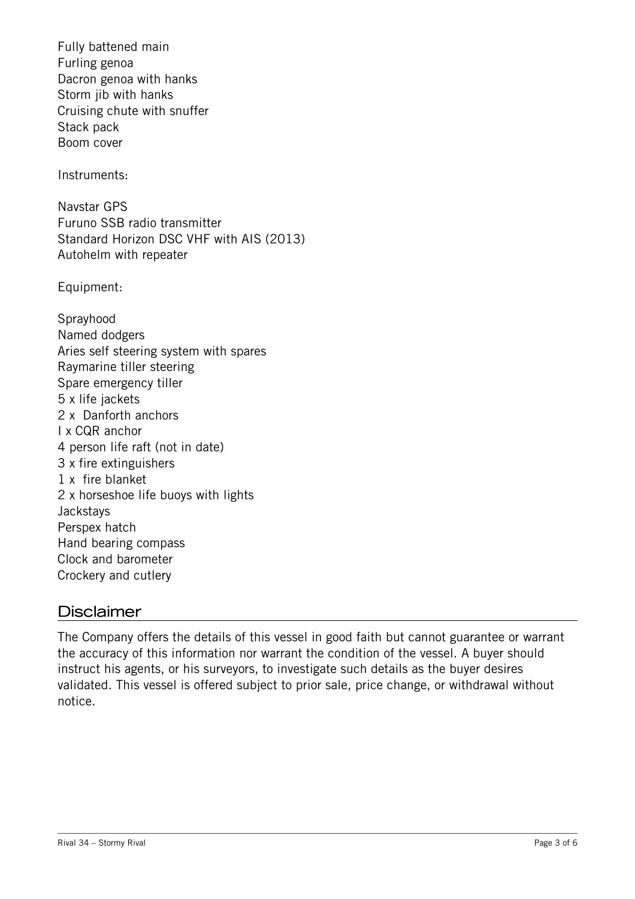Fully battened main Furling genoa Dacron genoa with hanks Storm jib with hanks Cruising chute with snuffer Stack pack Boom cover Instruments: Navstar GPS Furuno SSB radio transmitter Standard Horizon DSC VHF with AIS (2013) Autohelm with repeater Equipment: Sprayhood Named dodgers Aries self steering system with spares Raymarine tiller steering Spare emergency tiller 5 x life jackets 2 x Danforth anchors I x CQR anchor 4 person life raft (not in date)

## **Disclaimer**

**Jackstays** Perspex hatch

3 x fire extinguishers 1 x fire blanket

Hand bearing compass Clock and barometer Crockery and cutlery

2 x horseshoe life buoys with lights

The Company offers the details of this vessel in good faith but cannot guarantee or warrant the accuracy of this information nor warrant the condition of the vessel. A buyer should instruct his agents, or his surveyors, to investigate such details as the buyer desires validated. This vessel is offered subject to prior sale, price change, or withdrawal without notice.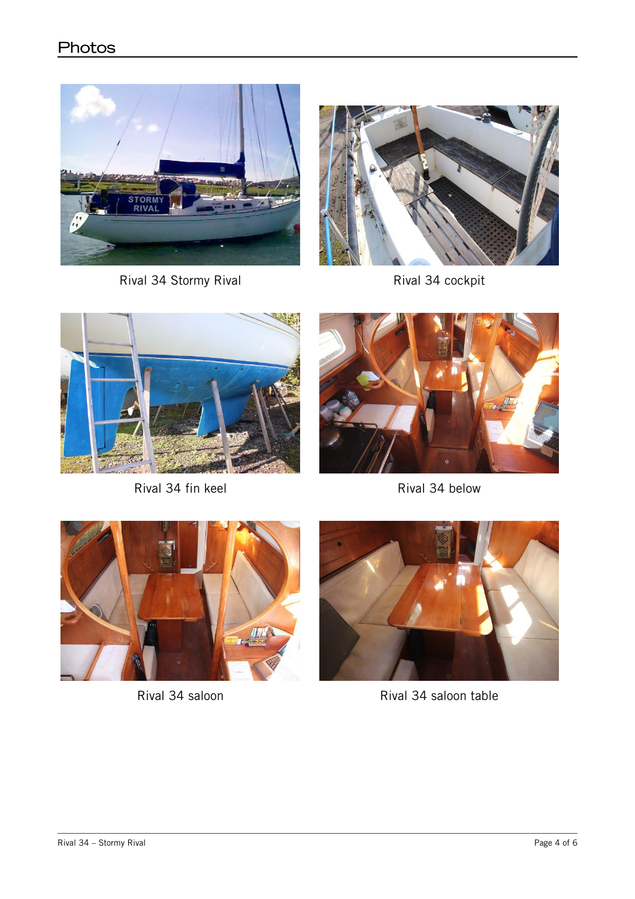## **Photos**



Rival 34 Stormy Rival **Rival Accept Rival 34 cockpit** 





Rival 34 fin keel Rival 34 below







Rival 34 saloon Rival 34 saloon table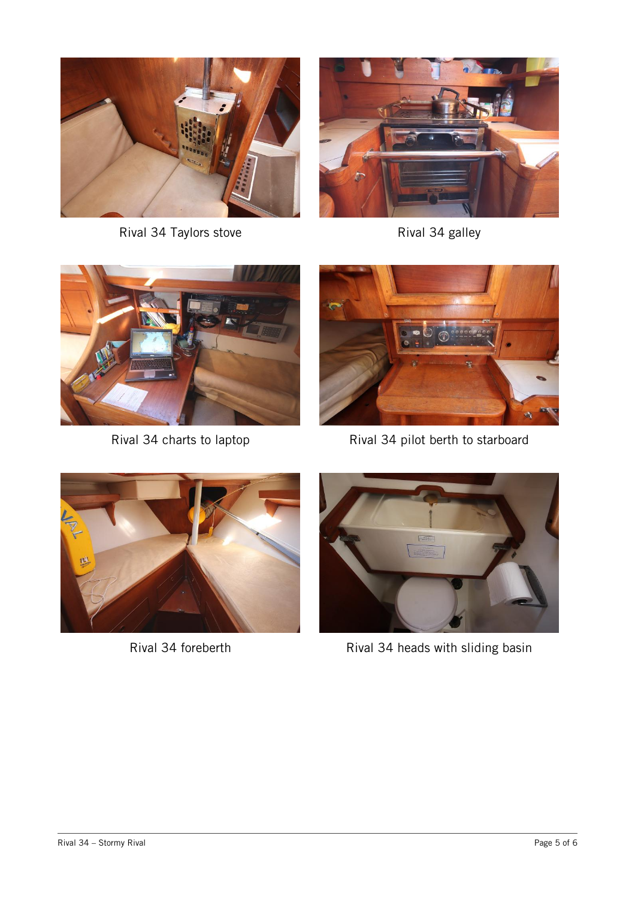

Rival 34 Taylors stove Rival 34 galley







Rival 34 charts to laptop Rival 34 pilot berth to starboard





Rival 34 foreberth Rival 34 heads with sliding basin